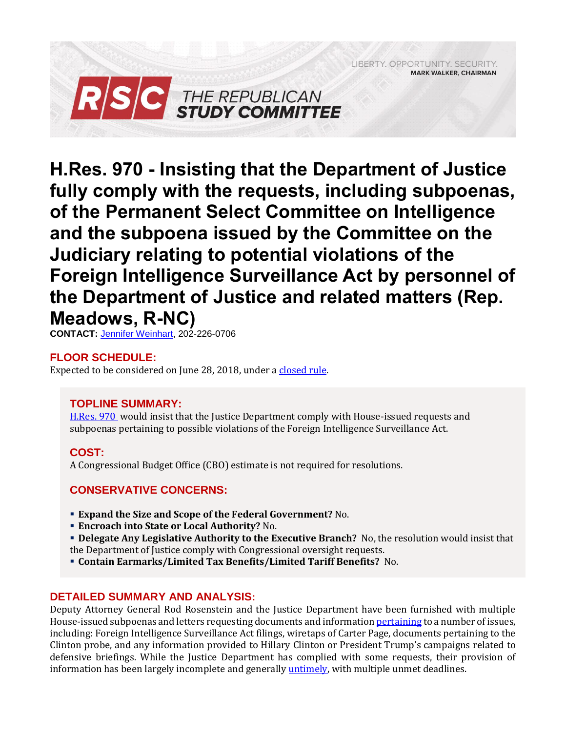LIBERTY, OPPORTUNITY, SECURITY, **MARK WALKER, CHAIRMAN** 



**H.Res. 970 - Insisting that the Department of Justice fully comply with the requests, including subpoenas, of the Permanent Select Committee on Intelligence and the subpoena issued by the Committee on the Judiciary relating to potential violations of the Foreign Intelligence Surveillance Act by personnel of the Department of Justice and related matters (Rep. Meadows, R-NC)**

**CONTACT:** [Jennifer Weinhart,](mailto:jennifer.weinhart@mail.house.gov) 202-226-0706

# **FLOOR SCHEDULE:**

Expected to be considered on June 28, 2018, under a [closed rule.](https://rules.house.gov/bill/115/h-res-970)

# **TOPLINE SUMMARY:**

[H.Res. 970](https://docs.house.gov/billsthisweek/20180625/BILLS-115hres___ih.pdf) would insist that the Justice Department comply with House-issued requests and subpoenas pertaining to possible violations of the Foreign Intelligence Surveillance Act.

## **COST:**

A Congressional Budget Office (CBO) estimate is not required for resolutions.

## **CONSERVATIVE CONCERNS:**

- **Expand the Size and Scope of the Federal Government?** No.
- **Encroach into State or Local Authority?** No.
- **Delegate Any Legislative Authority to the Executive Branch?** No, the resolution would insist that the Department of Justice comply with Congressional oversight requests.
- **Contain Earmarks/Limited Tax Benefits/Limited Tariff Benefits?** No.

## **DETAILED SUMMARY AND ANALYSIS:**

Deputy Attorney General Rod Rosenstein and the Justice Department have been furnished with multiple House-issued subpoenas and letters requesting documents and informatio[n pertaining](https://www.washingtonpost.com/powerpost/house-judiciary-committee-recommends-anti-rosenstein-resolution-for-floor-vote/2018/06/26/6d9f6f4a-795d-11e8-80be-6d32e182a3bc_story.html?utm_term=.a19d0cbe0bb0) to a number of issues, including: Foreign Intelligence Surveillance Act filings, wiretaps of Carter Page, documents pertaining to the Clinton probe, and any information provided to Hillary Clinton or President Trump's campaigns related to defensive briefings. While the Justice Department has complied with some requests, their provision of information has been largely incomplete and generally [untimely,](http://www.foxnews.com/politics/2018/04/05/justice-department-misses-deadline-to-hand-over-fbi-documents-on-fisa-clinton-foundation.html) with multiple unmet deadlines.